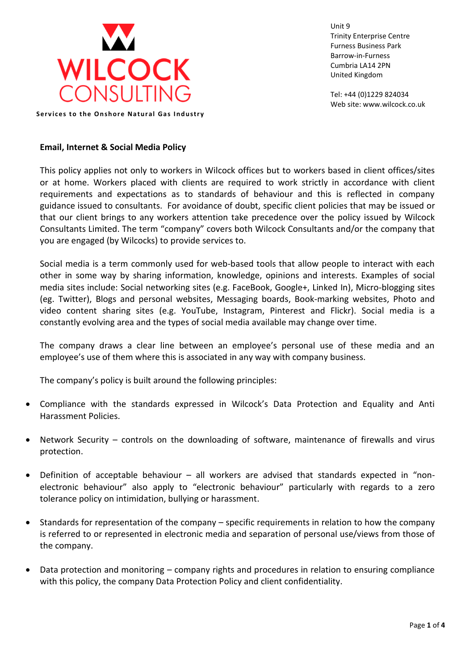

Unit 9 Trinity Enterprise Centre Furness Business Park Barrow-in-Furness Cumbria LA14 2PN United Kingdom

Tel: +44 (0)1229 824034 Web site: www.wilcock.co.uk

**Services to the Onshore Natural Gas Industry** 

## **Email, Internet & Social Media Policy**

This policy applies not only to workers in Wilcock offices but to workers based in client offices/sites or at home. Workers placed with clients are required to work strictly in accordance with client requirements and expectations as to standards of behaviour and this is reflected in company guidance issued to consultants. For avoidance of doubt, specific client policies that may be issued or that our client brings to any workers attention take precedence over the policy issued by Wilcock Consultants Limited. The term "company" covers both Wilcock Consultants and/or the company that you are engaged (by Wilcocks) to provide services to.

Social media is a term commonly used for web-based tools that allow people to interact with each other in some way by sharing information, knowledge, opinions and interests. Examples of social media sites include: Social networking sites (e.g. FaceBook, Google+, Linked In), Micro-blogging sites (eg. Twitter), Blogs and personal websites, Messaging boards, Book-marking websites, Photo and video content sharing sites (e.g. YouTube, Instagram, Pinterest and Flickr). Social media is a constantly evolving area and the types of social media available may change over time.

The company draws a clear line between an employee's personal use of these media and an employee's use of them where this is associated in any way with company business.

The company's policy is built around the following principles:

- Compliance with the standards expressed in Wilcock's Data Protection and Equality and Anti Harassment Policies.
- Network Security controls on the downloading of software, maintenance of firewalls and virus protection.
- Definition of acceptable behaviour all workers are advised that standards expected in "nonelectronic behaviour" also apply to "electronic behaviour" particularly with regards to a zero tolerance policy on intimidation, bullying or harassment.
- Standards for representation of the company specific requirements in relation to how the company is referred to or represented in electronic media and separation of personal use/views from those of the company.
- Data protection and monitoring company rights and procedures in relation to ensuring compliance with this policy, the company Data Protection Policy and client confidentiality.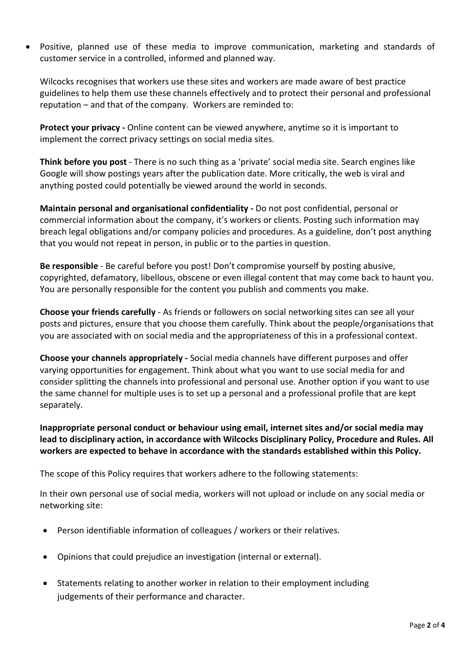• Positive, planned use of these media to improve communication, marketing and standards of customer service in a controlled, informed and planned way.

Wilcocks recognises that workers use these sites and workers are made aware of best practice guidelines to help them use these channels effectively and to protect their personal and professional reputation – and that of the company. Workers are reminded to:

**Protect your privacy -** Online content can be viewed anywhere, anytime so it is important to implement the correct privacy settings on social media sites.

**Think before you post** - There is no such thing as a 'private' social media site. Search engines like Google will show postings years after the publication date. More critically, the web is viral and anything posted could potentially be viewed around the world in seconds.

**Maintain personal and organisational confidentiality -** Do not post confidential, personal or commercial information about the company, it's workers or clients. Posting such information may breach legal obligations and/or company policies and procedures. As a guideline, don't post anything that you would not repeat in person, in public or to the parties in question.

**Be responsible** - Be careful before you post! Don't compromise yourself by posting abusive, copyrighted, defamatory, libellous, obscene or even illegal content that may come back to haunt you. You are personally responsible for the content you publish and comments you make.

**Choose your friends carefully** - As friends or followers on social networking sites can see all your posts and pictures, ensure that you choose them carefully. Think about the people/organisations that you are associated with on social media and the appropriateness of this in a professional context.

**Choose your channels appropriately -** Social media channels have different purposes and offer varying opportunities for engagement. Think about what you want to use social media for and consider splitting the channels into professional and personal use. Another option if you want to use the same channel for multiple uses is to set up a personal and a professional profile that are kept separately.

**Inappropriate personal conduct or behaviour using email, internet sites and/or social media may lead to disciplinary action, in accordance with Wilcocks Disciplinary Policy, Procedure and Rules. All workers are expected to behave in accordance with the standards established within this Policy.** 

The scope of this Policy requires that workers adhere to the following statements:

In their own personal use of social media, workers will not upload or include on any social media or networking site:

- Person identifiable information of colleagues / workers or their relatives.
- Opinions that could prejudice an investigation (internal or external).
- Statements relating to another worker in relation to their employment including judgements of their performance and character.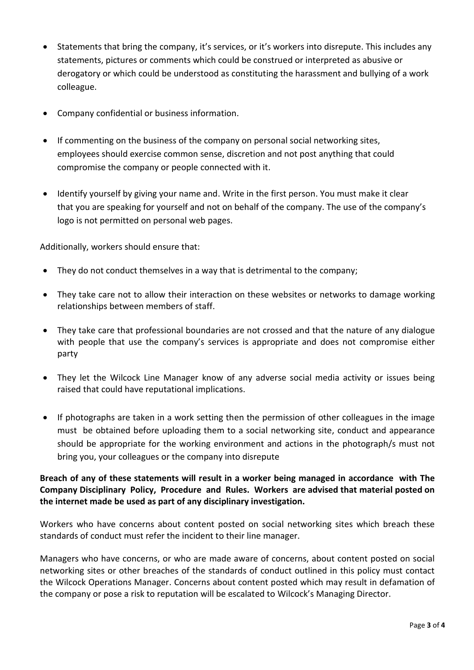- Statements that bring the company, it's services, or it's workers into disrepute. This includes any statements, pictures or comments which could be construed or interpreted as abusive or derogatory or which could be understood as constituting the harassment and bullying of a work colleague.
- Company confidential or business information.
- If commenting on the business of the company on personal social networking sites, employees should exercise common sense, discretion and not post anything that could compromise the company or people connected with it.
- Identify yourself by giving your name and. Write in the first person. You must make it clear that you are speaking for yourself and not on behalf of the company. The use of the company's logo is not permitted on personal web pages.

Additionally, workers should ensure that:

- They do not conduct themselves in a way that is detrimental to the company;
- They take care not to allow their interaction on these websites or networks to damage working relationships between members of staff.
- They take care that professional boundaries are not crossed and that the nature of any dialogue with people that use the company's services is appropriate and does not compromise either party
- They let the Wilcock Line Manager know of any adverse social media activity or issues being raised that could have reputational implications.
- If photographs are taken in a work setting then the permission of other colleagues in the image must be obtained before uploading them to a social networking site, conduct and appearance should be appropriate for the working environment and actions in the photograph/s must not bring you, your colleagues or the company into disrepute

## **Breach of any of these statements will result in a worker being managed in accordance with The Company Disciplinary Policy, Procedure and Rules. Workers are advised that material posted on the internet made be used as part of any disciplinary investigation.**

Workers who have concerns about content posted on social networking sites which breach these standards of conduct must refer the incident to their line manager.

Managers who have concerns, or who are made aware of concerns, about content posted on social networking sites or other breaches of the standards of conduct outlined in this policy must contact the Wilcock Operations Manager. Concerns about content posted which may result in defamation of the company or pose a risk to reputation will be escalated to Wilcock's Managing Director.